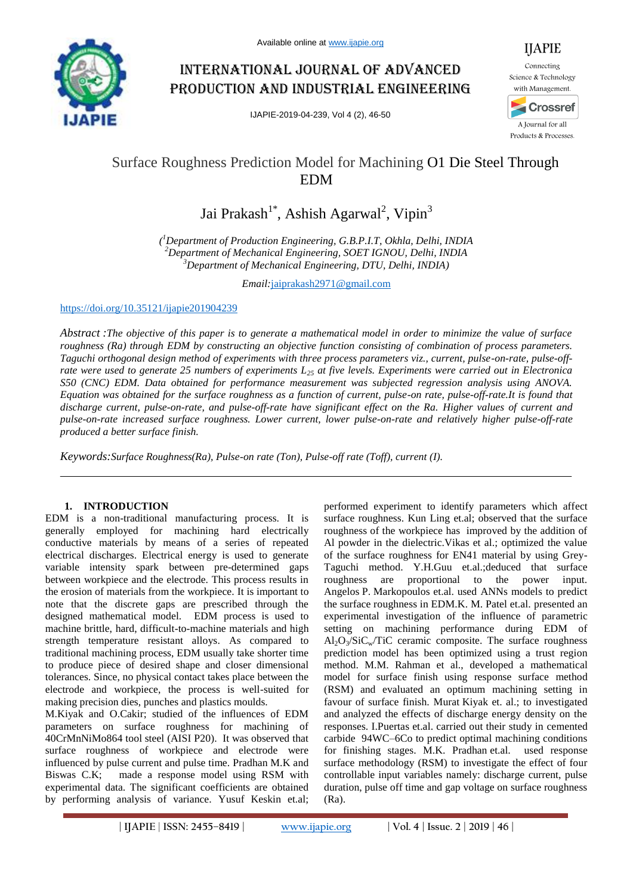

# International journal of advanced production and industrial engineering

IJAPIE-2019-04-239, Vol 4 (2), 46-50



# Surface Roughness Prediction Model for Machining O1 Die Steel Through EDM

Jai Prakash<sup>1\*</sup>, Ashish Agarwal<sup>2</sup>, Vipin<sup>3</sup>

*( <sup>1</sup>Department of Production Engineering, G.B.P.I.T, Okhla, Delhi, INDIA <sup>2</sup>Department of Mechanical Engineering, SOET IGNOU, Delhi, INDIA <sup>3</sup>Department of Mechanical Engineering, DTU, Delhi, INDIA)*

*Email:*jaiprakash2971@gmail.com

https://doi.org/10.35121/ijapie201904239

*Abstract :The objective of this paper is to generate a mathematical model in order to minimize the value of surface roughness (Ra) through EDM by constructing an objective function consisting of combination of process parameters. Taguchi orthogonal design method of experiments with three process parameters viz., current, pulse-on-rate, pulse-offrate were used to generate 25 numbers of experiments L<sup>25</sup> at five levels. Experiments were carried out in Electronica S50 (CNC) EDM. Data obtained for performance measurement was subjected regression analysis using ANOVA. Equation was obtained for the surface roughness as a function of current, pulse-on rate, pulse-off-rate.It is found that discharge current, pulse-on-rate, and pulse-off-rate have significant effect on the Ra. Higher values of current and pulse-on-rate increased surface roughness. Lower current, lower pulse-on-rate and relatively higher pulse-off-rate produced a better surface finish.*

*Keywords:Surface Roughness(Ra), Pulse-on rate (Ton), Pulse-off rate (Toff), current (I).*

## **1. INTRODUCTION**

EDM is a non-traditional manufacturing process. It is generally employed for machining hard electrically conductive materials by means of a series of repeated electrical discharges. Electrical energy is used to generate variable intensity spark between pre-determined gaps between workpiece and the electrode. This process results in the erosion of materials from the workpiece. It is important to note that the discrete gaps are prescribed through the designed mathematical model. EDM process is used to machine brittle, hard, difficult-to-machine materials and high strength temperature resistant alloys. As compared to traditional machining process, EDM usually take shorter time to produce piece of desired shape and closer dimensional tolerances. Since, no physical contact takes place between the electrode and workpiece, the process is well-suited for making precision dies, punches and plastics moulds.

M.Kiyak and O.Cakir; studied of the influences of EDM parameters on surface roughness for machining of 40CrMnNiMo864 tool steel (AISI P20). It was observed that surface roughness of workpiece and electrode were influenced by pulse current and pulse time. Pradhan M.K and Biswas C.K; made a response model using RSM with experimental data. The significant coefficients are obtained by performing analysis of variance. Yusuf Keskin et.al; performed experiment to identify parameters which affect surface roughness. Kun Ling et.al; observed that the surface roughness of the workpiece has improved by the addition of Al powder in the dielectric.Vikas et al.; optimized the value of the surface roughness for EN41 material by using Grey-Taguchi method. Y.H.Guu et.al.;deduced that surface roughness are proportional to the power input. Angelos P. Markopoulos et.al. used ANNs models to predict the surface roughness in EDM.K. M. Patel et.al. presented an experimental investigation of the influence of parametric setting on machining performance during EDM of  $Al_2O_3/SiC_w/TiC$  ceramic composite. The surface roughness prediction model has been optimized using a trust region method. M.M. Rahman et al., developed a mathematical model for surface finish using response surface method (RSM) and evaluated an optimum machining setting in favour of surface finish. Murat Kiyak et. al.; to investigated and analyzed the effects of discharge energy density on the responses. I.Puertas et.al. carried out their study in cemented carbide 94WC–6Co to predict optimal machining conditions for finishing stages. M.K. Pradhan et.al. used response surface methodology (RSM) to investigate the effect of four controllable input variables namely: discharge current, pulse duration, pulse off time and gap voltage on surface roughness (Ra).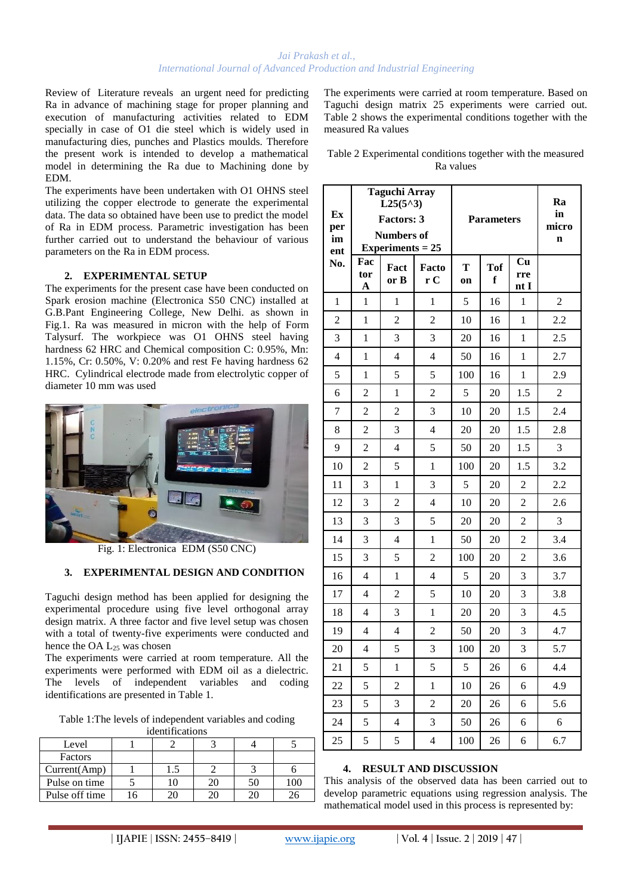Review of Literature reveals an urgent need for predicting Ra in advance of machining stage for proper planning and execution of manufacturing activities related to EDM specially in case of O1 die steel which is widely used in manufacturing dies, punches and Plastics moulds. Therefore the present work is intended to develop a mathematical model in determining the Ra due to Machining done by EDM.

The experiments have been undertaken with O1 OHNS steel utilizing the copper electrode to generate the experimental data. The data so obtained have been use to predict the model of Ra in EDM process. Parametric investigation has been further carried out to understand the behaviour of various parameters on the Ra in EDM process.

## **2. EXPERIMENTAL SETUP**

The experiments for the present case have been conducted on Spark erosion machine (Electronica S50 CNC) installed at G.B.Pant Engineering College, New Delhi. as shown in Fig.1. Ra was measured in micron with the help of Form Talysurf. The workpiece was O1 OHNS steel having hardness 62 HRC and Chemical composition C: 0.95%, Mn: 1.15%, Cr: 0.50%, V: 0.20% and rest Fe having hardness 62 HRC. Cylindrical electrode made from electrolytic copper of diameter 10 mm was used



Fig. 1: Electronica EDM (S50 CNC)

## **3. EXPERIMENTAL DESIGN AND CONDITION**

Taguchi design method has been applied for designing the experimental procedure using five level orthogonal array design matrix. A three factor and five level setup was chosen with a total of twenty-five experiments were conducted and hence the OA L<sub>25</sub> was chosen

The experiments were carried at room temperature. All the experiments were performed with EDM oil as a dielectric. The levels of independent variables and coding identifications are presented in Table 1.

Table 1:The levels of independent variables and coding

| identifications |  |     |  |    |     |  |
|-----------------|--|-----|--|----|-----|--|
| Level           |  |     |  |    |     |  |
| Factors         |  |     |  |    |     |  |
| Current(Amp)    |  | 1.5 |  |    |     |  |
| Pulse on time   |  | 10  |  | 50 | LОC |  |
| Pulse off time  |  | 20  |  |    |     |  |

The experiments were carried at room temperature. Based on Taguchi design matrix 25 experiments were carried out. Table 2 shows the experimental conditions together with the measured Ra values

| Table 2 Experimental conditions together with the measured |
|------------------------------------------------------------|
| Ra values                                                  |

| Ex<br>per<br>im<br>ent | <b>Taguchi Array</b><br>$L25(5^{\wedge}3)$<br><b>Factors: 3</b><br><b>Numbers of</b><br>Experiments $= 25$ |                | <b>Parameters</b>        |         |                 | Ra<br>in<br>micro<br>$\mathbf n$ |            |
|------------------------|------------------------------------------------------------------------------------------------------------|----------------|--------------------------|---------|-----------------|----------------------------------|------------|
| No.                    | Fac<br>tor<br>A                                                                                            | Fact<br>or B   | Facto<br>r C             | T<br>on | <b>Tof</b><br>f | Cu<br>rre<br>nt I                |            |
| 1                      | 1                                                                                                          | 1              | 1                        | 5       | 16              | 1                                | 2          |
| $\overline{2}$         | 1                                                                                                          | $\overline{2}$ | $\overline{2}$           | 10      | 16              | 1                                | 2.2        |
| 3                      | 1                                                                                                          | 3              | 3                        | 20      | 16              | 1                                | 2.5        |
| 4                      | $\mathbf{1}$                                                                                               | $\overline{4}$ | $\overline{\mathcal{L}}$ | 50      | 16              | $\mathbf{1}$                     | 2.7        |
| 5                      | 1                                                                                                          | 5              | 5                        | 100     | 16              | $\mathbf{1}$                     | 2.9        |
| 6                      | $\overline{c}$                                                                                             | $\mathbf{1}$   | $\overline{c}$           | 5       | 20              | 1.5                              | $\sqrt{2}$ |
| 7                      | $\overline{2}$                                                                                             | $\overline{2}$ | 3                        | 10      | 20              | 1.5                              | 2.4        |
| 8                      | $\overline{2}$                                                                                             | 3              | $\overline{4}$           | 20      | 20              | 1.5                              | 2.8        |
| 9                      | $\overline{2}$                                                                                             | $\overline{4}$ | 5                        | 50      | 20              | 1.5                              | 3          |
| 10                     | $\overline{c}$                                                                                             | 5              | $\mathbf{1}$             | 100     | 20              | 1.5                              | 3.2        |
| 11                     | 3                                                                                                          | $\mathbf{1}$   | 3                        | 5       | 20              | $\overline{2}$                   | 2.2        |
| 12                     | 3                                                                                                          | $\overline{c}$ | $\overline{4}$           | 10      | 20              | $\overline{2}$                   | 2.6        |
| 13                     | 3                                                                                                          | 3              | 5                        | 20      | 20              | $\overline{2}$                   | 3          |
| 14                     | 3                                                                                                          | $\overline{4}$ | $\mathbf{1}$             | 50      | 20              | $\overline{2}$                   | 3.4        |
| 15                     | 3                                                                                                          | 5              | $\overline{2}$           | 100     | 20              | $\overline{2}$                   | 3.6        |
| 16                     | $\overline{4}$                                                                                             | $\mathbf{1}$   | $\overline{4}$           | 5       | 20              | 3                                | 3.7        |
| 17                     | $\overline{4}$                                                                                             | $\overline{2}$ | 5                        | 10      | 20              | 3                                | 3.8        |
| 18                     | 4                                                                                                          | 3              | $\mathbf{1}$             | 20      | 20              | 3                                | 4.5        |
| 19                     | $\overline{4}$                                                                                             | $\overline{4}$ | $\overline{2}$           | 50      | 20              | 3                                | 4.7        |
| 20                     | $\overline{4}$                                                                                             | 5              | 3                        | 100     | 20              | 3                                | 5.7        |
| 21                     | 5                                                                                                          | $\,1$          | 5                        | 5       | 26              | 6                                | 4.4        |
| 22                     | 5                                                                                                          | $\overline{c}$ | $\mathbf{1}$             | 10      | 26              | 6                                | 4.9        |
| 23                     | 5                                                                                                          | 3              | $\overline{c}$           | 20      | 26              | 6                                | 5.6        |
| 24                     | 5                                                                                                          | $\overline{4}$ | 3                        | 50      | 26              | 6                                | 6          |
| 25                     | 5                                                                                                          | 5              | 4                        | 100     | 26              | 6                                | 6.7        |

#### **4. RESULT AND DISCUSSION**

This analysis of the observed data has been carried out to develop parametric equations using regression analysis. The mathematical model used in this process is represented by: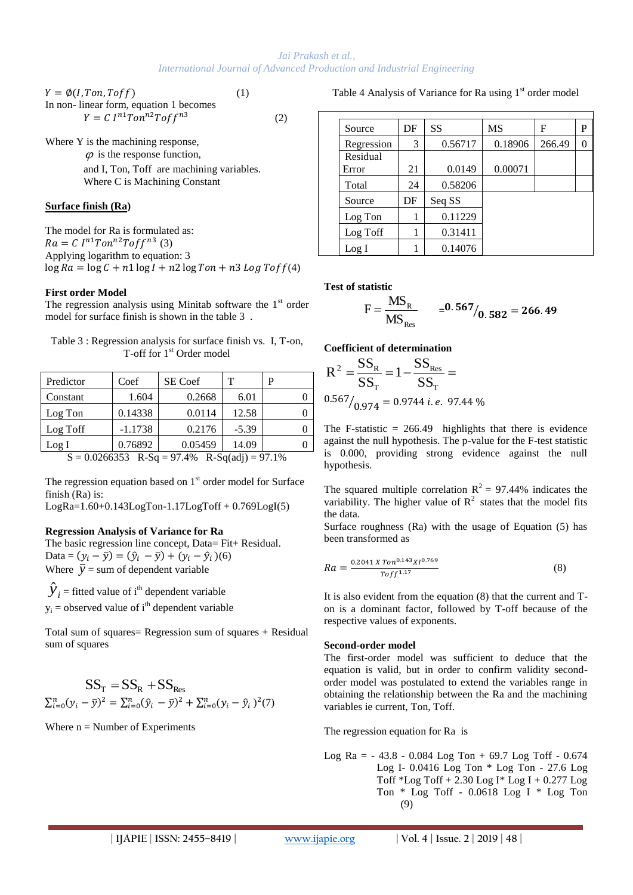$$
Y = \phi(I, Ton, Toff)
$$
 (1)  
In non-linear form, equation 1 becomes  

$$
Y = C I^{n1} Ton^{n2}Toff^{n3}
$$
 (2)

Where Y is the machining response,  $\varphi$  is the response function, and I, Ton, Toff are machining variables. Where C is Machining Constant

## **Surface finish (Ra)**

The model for Ra is formulated as:  $Ra = C I^{n1} Ton^{n2}Toff^{n3}(3)$ Applying logarithm to equation: 3  $\log Ra = \log C + n1 \log I + n2 \log Ton + n3 Log Toff(4)$ 

#### **First order Model**

The regression analysis using Minitab software the  $1<sup>st</sup>$  order model for surface finish is shown in the table 3 .

| Table 3 : Regression analysis for surface finish vs. I, T-on, |  |
|---------------------------------------------------------------|--|
| T-off for 1 <sup>st</sup> Order model                         |  |

| Predictor                                               | Coef      | <b>SE</b> Coef | т       |  |  |  |  |
|---------------------------------------------------------|-----------|----------------|---------|--|--|--|--|
| Constant                                                | 1.604     | 0.2668         | 6.01    |  |  |  |  |
| Log Ton                                                 | 0.14338   | 0.0114         | 12.58   |  |  |  |  |
| Log Toff                                                | $-1.1738$ | 0.2176         | $-5.39$ |  |  |  |  |
| Log I                                                   | 0.76892   | 0.05459        | 14.09   |  |  |  |  |
| 0.020022<br>D C = 07.40/<br>C<br>$D_{0}C_{0}/232007107$ |           |                |         |  |  |  |  |

 $S = 0.0266353$  R-Sq = 97.4% R-Sq(adj) = 97.1%

The regression equation based on  $1<sup>st</sup>$  order model for Surface finish (Ra) is:

 $LogRa=1.60+0.143LogTon-1.17LogToff + 0.769LogI(5)$ 

## **Regression Analysis of Variance for Ra**

The basic regression line concept, Data= Fit+ Residual. Data =  $(y_i - \bar{y}) = (\hat{y}_i - \bar{y}) + (y_i - \hat{y}_i)$ (6) Where  $\bar{y}$  = sum of dependent variable

 $\hat{y}_i$  = fitted value of i<sup>th</sup> dependent variable  $y_i$  = observed value of i<sup>th</sup> dependent variable

Total sum of squares= Regression sum of squares + Residual sum of squares

$$
SS_{\text{T}} = SS_{\text{R}} + SS_{\text{Res}}
$$
  

$$
\sum_{i=0}^{n} (y_i - \bar{y})^2 = \sum_{i=0}^{n} (\hat{y}_i - \bar{y})^2 + \sum_{i=0}^{n} (y_i - \hat{y}_i)^2 (7)
$$

Where  $n =$  Number of Experiments

Table 4 Analysis of Variance for Ra using  $1<sup>st</sup>$  order model

| Source     | DF | SS      | MS      | F      | P |
|------------|----|---------|---------|--------|---|
| Regression | 3  | 0.56717 | 0.18906 | 266.49 | 0 |
| Residual   |    |         |         |        |   |
| Error      | 21 | 0.0149  | 0.00071 |        |   |
| Total      | 24 | 0.58206 |         |        |   |
| Source     | DF | Seq SS  |         |        |   |
| Log Ton    |    | 0.11229 |         |        |   |
| Log Toff   |    | 0.31411 |         |        |   |
| Log I      |    | 0.14076 |         |        |   |

#### **Test of statistic**

$$
F = \frac{MS_{R}}{MS_{Res}} = 0.567/0.582 = 266.49
$$

**Coefficient of determination**

$$
R^{2} = \frac{SS_{R}}{SS_{T}} = 1 - \frac{SS_{Res}}{SS_{T}} = 0.567/0.974 = 0.9744 \, i.e. \, 97.44 \, \%
$$

The F-statistic  $= 266.49$  highlights that there is evidence against the null hypothesis. The p-value for the F-test statistic is 0.000, providing strong evidence against the null hypothesis.

The squared multiple correlation  $R^2 = 97.44\%$  indicates the variability. The higher value of  $R^2$  states that the model fits the data.

Surface roughness (Ra) with the usage of Equation (5) has been transformed as

$$
Ra = \frac{0.2041 X T on^{0.143} X I^{0.769}}{T of f^{1.17}}
$$
\n(8)

It is also evident from the equation (8) that the current and Ton is a dominant factor, followed by T-off because of the respective values of exponents.

#### **Second-order model**

The first-order model was sufficient to deduce that the equation is valid, but in order to confirm validity secondorder model was postulated to extend the variables range in obtaining the relationship between the Ra and the machining variables ie current, Ton, Toff.

The regression equation for Ra is

Log Ra = - 43.8 - 0.084 Log Ton + 69.7 Log Toff - 0.674 Log I- 0.0416 Log Ton \* Log Ton - 27.6 Log Toff \*Log Toff + 2.30 Log I\* Log I + 0.277 Log Ton \* Log Toff - 0.0618 Log I \* Log Ton (9)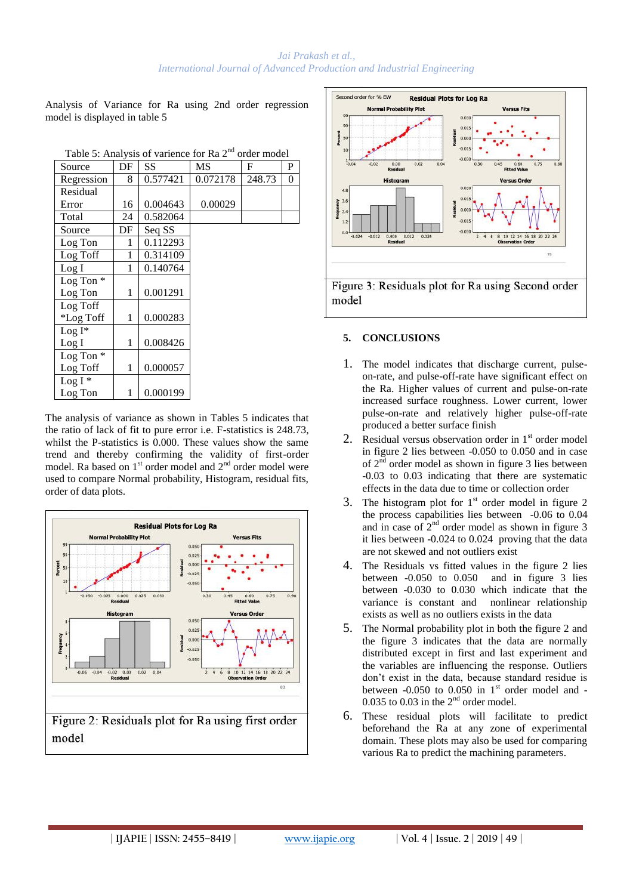Analysis of Variance for Ra using 2nd order regression model is displayed in table 5

| Source      | DF | SS       | MS       | F      | P |
|-------------|----|----------|----------|--------|---|
| Regression  | 8  | 0.577421 | 0.072178 | 248.73 | 0 |
| Residual    |    |          |          |        |   |
| Error       | 16 | 0.004643 | 0.00029  |        |   |
| Total       | 24 | 0.582064 |          |        |   |
| Source      | DF | Seq SS   |          |        |   |
| Log Ton     | 1  | 0.112293 |          |        |   |
| Log Toff    | 1  | 0.314109 |          |        |   |
| Log I       | 1  | 0.140764 |          |        |   |
| Log Ton $*$ |    |          |          |        |   |
| Log Ton     | 1  | 0.001291 |          |        |   |
| Log Toff    |    |          |          |        |   |
| *Log Toff   | 1  | 0.000283 |          |        |   |
| $Log I^*$   |    |          |          |        |   |
| Log I       | 1  | 0.008426 |          |        |   |
| Log Ton $*$ |    |          |          |        |   |
| Log Toff    | 1  | 0.000057 |          |        |   |
| Log $I^*$   |    |          |          |        |   |
| Log Ton     | 1  | 0.000199 |          |        |   |

Table 5: Analysis of varience for Ra  $2<sup>nd</sup>$  order model

The analysis of variance as shown in Tables 5 indicates that the ratio of lack of fit to pure error i.e. F-statistics is 248.73, whilst the P-statistics is 0.000. These values show the same trend and thereby confirming the validity of first-order model. Ra based on 1<sup>st</sup> order model and 2<sup>nd</sup> order model were used to compare Normal probability, Histogram, residual fits, order of data plots.



Figure 2: Residuals plot for Ra using first order model



## **5. CONCLUSIONS**

- 1. The model indicates that discharge current, pulseon-rate, and pulse-off-rate have significant effect on the Ra. Higher values of current and pulse-on-rate increased surface roughness. Lower current, lower pulse-on-rate and relatively higher pulse-off-rate produced a better surface finish
- 2. Residual versus observation order in  $1<sup>st</sup>$  order model in figure 2 lies between -0.050 to 0.050 and in case of  $2<sup>nd</sup>$  order model as shown in figure 3 lies between -0.03 to 0.03 indicating that there are systematic effects in the data due to time or collection order
- 3. The histogram plot for  $1<sup>st</sup>$  order model in figure 2 the process capabilities lies between -0.06 to 0.04 and in case of  $2<sup>nd</sup>$  order model as shown in figure 3 it lies between -0.024 to 0.024 proving that the data are not skewed and not outliers exist
- 4. The Residuals vs fitted values in the figure 2 lies between -0.050 to 0.050 and in figure 3 lies between -0.030 to 0.030 which indicate that the variance is constant and nonlinear relationship exists as well as no outliers exists in the data
- 5. The Normal probability plot in both the figure 2 and the figure 3 indicates that the data are normally distributed except in first and last experiment and the variables are influencing the response. Outliers don't exist in the data, because standard residue is between  $-0.050$  to  $0.050$  in 1<sup>st</sup> order model and  $-$ 0.035 to 0.03 in the  $2<sup>nd</sup>$  order model.
- 6. These residual plots will facilitate to predict beforehand the Ra at any zone of experimental domain. These plots may also be used for comparing various Ra to predict the machining parameters.